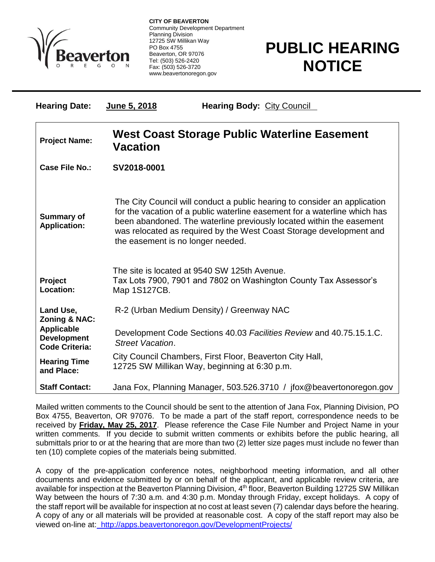

 $\overline{a}$ 

**CITY OF BEAVERTON** Community Development Department Planning Division 12725 SW Millikan Way PO Box 4755 Beaverton, OR 97076 Tel: (503) 526-2420 Fax: (503) 526-3720 www.beavertonoregon.gov

## **PUBLIC HEARING NOTICE**

| <b>Hearing Date:</b>                                             | June 5, 2018                                                                                                                                                                                                                                                                                                                               | <b>Hearing Body: City Council</b>                                                                                |
|------------------------------------------------------------------|--------------------------------------------------------------------------------------------------------------------------------------------------------------------------------------------------------------------------------------------------------------------------------------------------------------------------------------------|------------------------------------------------------------------------------------------------------------------|
| <b>Project Name:</b>                                             | West Coast Storage Public Waterline Easement<br><b>Vacation</b>                                                                                                                                                                                                                                                                            |                                                                                                                  |
| <b>Case File No.:</b>                                            | SV2018-0001                                                                                                                                                                                                                                                                                                                                |                                                                                                                  |
| <b>Summary of</b><br><b>Application:</b>                         | The City Council will conduct a public hearing to consider an application<br>for the vacation of a public waterline easement for a waterline which has<br>been abandoned. The waterline previously located within the easement<br>was relocated as required by the West Coast Storage development and<br>the easement is no longer needed. |                                                                                                                  |
| Project<br>Location:                                             | Map 1S127CB.                                                                                                                                                                                                                                                                                                                               | The site is located at 9540 SW 125th Avenue.<br>Tax Lots 7900, 7901 and 7802 on Washington County Tax Assessor's |
| Land Use,<br><b>Zoning &amp; NAC:</b>                            | R-2 (Urban Medium Density) / Greenway NAC                                                                                                                                                                                                                                                                                                  |                                                                                                                  |
| <b>Applicable</b><br><b>Development</b><br><b>Code Criteria:</b> | <b>Street Vacation.</b>                                                                                                                                                                                                                                                                                                                    | Development Code Sections 40.03 Facilities Review and 40.75.15.1.C.                                              |
| <b>Hearing Time</b><br>and Place:                                | City Council Chambers, First Floor, Beaverton City Hall,<br>12725 SW Millikan Way, beginning at 6:30 p.m.                                                                                                                                                                                                                                  |                                                                                                                  |
| <b>Staff Contact:</b>                                            | Jana Fox, Planning Manager, 503.526.3710 / jfox@beavertonoregon.gov                                                                                                                                                                                                                                                                        |                                                                                                                  |

Mailed written comments to the Council should be sent to the attention of Jana Fox, Planning Division, PO Box 4755, Beaverton, OR 97076. To be made a part of the staff report, correspondence needs to be received by **Friday, May 25, 2017**. Please reference the Case File Number and Project Name in your written comments. If you decide to submit written comments or exhibits before the public hearing, all submittals prior to or at the hearing that are more than two (2) letter size pages must include no fewer than ten (10) complete copies of the materials being submitted.

A copy of the pre-application conference notes, neighborhood meeting information, and all other documents and evidence submitted by or on behalf of the applicant, and applicable review criteria, are available for inspection at the Beaverton Planning Division, 4<sup>th</sup> floor, Beaverton Building 12725 SW Millikan Way between the hours of 7:30 a.m. and 4:30 p.m. Monday through Friday, except holidays. A copy of the staff report will be available for inspection at no cost at least seven (7) calendar days before the hearing. A copy of any or all materials will be provided at reasonable cost. A copy of the staff report may also be viewed on-line at: http://apps.beavertonoregon.gov/DevelopmentProjects/